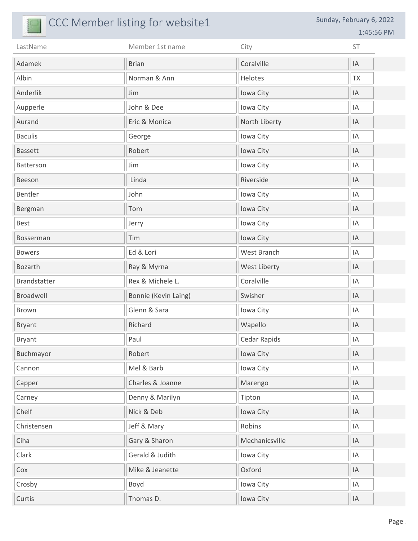## CCC Member listing for website1 Sunday, February 6, 2022

1:45:56 PM

| LastName       | Member 1st name      | City           | ST            |
|----------------|----------------------|----------------|---------------|
| Adamek         | <b>Brian</b>         | Coralville     | IA            |
| Albin          | Norman & Ann         | Helotes        | <b>TX</b>     |
| Anderlik       | Jim                  | Iowa City      | IA            |
| Aupperle       | John & Dee           | Iowa City      | IA            |
| Aurand         | Eric & Monica        | North Liberty  | $\mathsf{IA}$ |
| <b>Baculis</b> | George               | Iowa City      | IA            |
| <b>Bassett</b> | Robert               | Iowa City      | IA            |
| Batterson      | Jim                  | Iowa City      | IA            |
| Beeson         | Linda                | Riverside      | IA            |
| Bentler        | John                 | Iowa City      | IA            |
| Bergman        | Tom                  | Iowa City      | $\mathsf{IA}$ |
| Best           | Jerry                | Iowa City      | IA            |
| Bosserman      | Tim                  | Iowa City      | IA            |
| <b>Bowers</b>  | Ed & Lori            | West Branch    | IA            |
| Bozarth        | Ray & Myrna          | West Liberty   | IA            |
| Brandstatter   | Rex & Michele L.     | Coralville     | IA            |
| Broadwell      | Bonnie (Kevin Laing) | Swisher        | $\mathsf{IA}$ |
| <b>Brown</b>   | Glenn & Sara         | Iowa City      | IA            |
| Bryant         | Richard              | Wapello        | IA            |
| <b>Bryant</b>  | Paul                 | Cedar Rapids   | IA            |
| Buchmayor      | Robert               | Iowa City      | IA            |
| Cannon         | Mel & Barb           | Iowa City      | ΙA            |
| Capper         | Charles & Joanne     | Marengo        | IA            |
| Carney         | Denny & Marilyn      | Tipton         | ΙA            |
| Chelf          | Nick & Deb           | Iowa City      | IA            |
| Christensen    | Jeff & Mary          | Robins         | IA            |
| Ciha           | Gary & Sharon        | Mechanicsville | IA            |
| Clark          | Gerald & Judith      | Iowa City      | IA            |
| Cox            | Mike & Jeanette      | Oxford         | IA            |
| Crosby         | Boyd                 | Iowa City      | ΙA            |
| Curtis         | Thomas D.            | Iowa City      | IA            |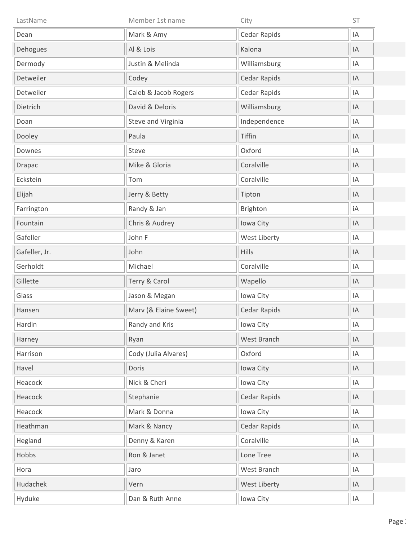| LastName      | Member 1st name       | City         | ST |
|---------------|-----------------------|--------------|----|
| Dean          | Mark & Amy            | Cedar Rapids | ΙA |
| Dehogues      | Al & Lois             | Kalona       | IA |
| Dermody       | Justin & Melinda      | Williamsburg | IA |
| Detweiler     | Codey                 | Cedar Rapids | IA |
| Detweiler     | Caleb & Jacob Rogers  | Cedar Rapids | IA |
| Dietrich      | David & Deloris       | Williamsburg | IA |
| Doan          | Steve and Virginia    | Independence | IA |
| Dooley        | Paula                 | Tiffin       | IA |
| Downes        | Steve                 | Oxford       | IA |
| <b>Drapac</b> | Mike & Gloria         | Coralville   | IA |
| Eckstein      | Tom                   | Coralville   | IA |
| Elijah        | Jerry & Betty         | Tipton       | IA |
| Farrington    | Randy & Jan           | Brighton     | iA |
| Fountain      | Chris & Audrey        | Iowa City    | IA |
| Gafeller      | John F                | West Liberty | IA |
| Gafeller, Jr. | John                  | Hills        | IA |
| Gerholdt      | Michael               | Coralville   | IA |
| Gillette      | Terry & Carol         | Wapello      | IA |
| Glass         | Jason & Megan         | Iowa City    | IA |
| Hansen        | Marv (& Elaine Sweet) | Cedar Rapids | IA |
| Hardin        | Randy and Kris        | Iowa City    | IA |
| Harney        | Ryan                  | West Branch  | IA |
| Harrison      | Cody (Julia Alvares)  | Oxford       | IA |
| Havel         | Doris                 | Iowa City    | IA |
| Heacock       | Nick & Cheri          | Iowa City    | IA |
| Heacock       | Stephanie             | Cedar Rapids | IA |
| Heacock       | Mark & Donna          | Iowa City    | IA |
| Heathman      | Mark & Nancy          | Cedar Rapids | IA |
| Hegland       | Denny & Karen         | Coralville   | IA |
| Hobbs         | Ron & Janet           | Lone Tree    | IA |
| Hora          | Jaro                  | West Branch  | IA |
| Hudachek      | Vern                  | West Liberty | IA |
| Hyduke        | Dan & Ruth Anne       | Iowa City    | IA |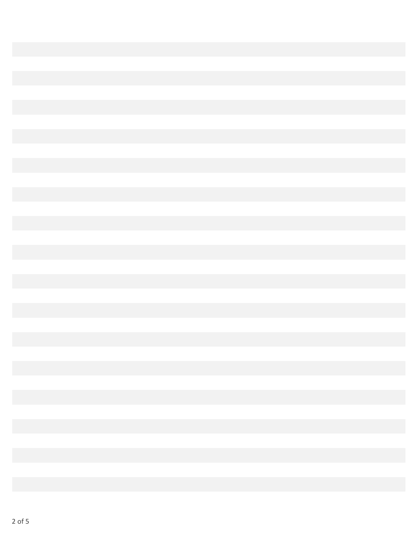| ×<br>×<br>٧ |
|-------------|
|-------------|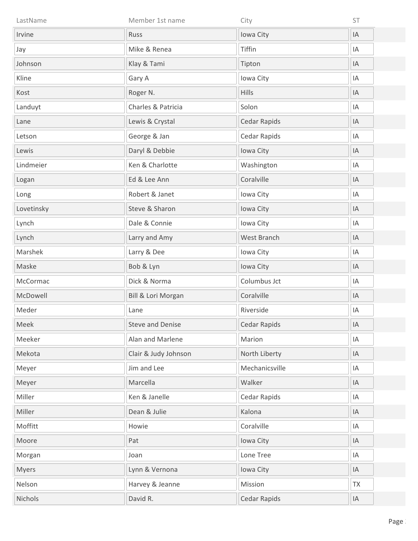| LastName     | Member 1st name         | City           | ST            |
|--------------|-------------------------|----------------|---------------|
| Irvine       | Russ                    | Iowa City      | IA            |
| Jay          | Mike & Renea            | Tiffin         | IA            |
| Johnson      | Klay & Tami             | Tipton         | IA            |
| Kline        | Gary A                  | Iowa City      | IA            |
| Kost         | Roger N.                | <b>Hills</b>   | IA            |
| Landuyt      | Charles & Patricia      | Solon          | ΙA            |
| Lane         | Lewis & Crystal         | Cedar Rapids   | IA            |
| Letson       | George & Jan            | Cedar Rapids   | IA            |
| Lewis        | Daryl & Debbie          | Iowa City      | IA            |
| Lindmeier    | Ken & Charlotte         | Washington     | ΙA            |
| Logan        | Ed & Lee Ann            | Coralville     | IA            |
| Long         | Robert & Janet          | Iowa City      | IA            |
| Lovetinsky   | Steve & Sharon          | Iowa City      | IA            |
| Lynch        | Dale & Connie           | Iowa City      | ΙA            |
| Lynch        | Larry and Amy           | West Branch    | IA            |
| Marshek      | Larry & Dee             | Iowa City      | IA            |
| Maske        | Bob & Lyn               | Iowa City      | $\mathsf{IA}$ |
| McCormac     | Dick & Norma            | Columbus Jct   | IA            |
| McDowell     | Bill & Lori Morgan      | Coralville     | $\mathsf{IA}$ |
| Meder        | Lane                    | Riverside      | IA            |
| Meek         | <b>Steve and Denise</b> | Cedar Rapids   | $\mathsf{IA}$ |
| Meeker       | Alan and Marlene        | Marion         | IA            |
| Mekota       | Clair & Judy Johnson    | North Liberty  | IA            |
| Meyer        | Jim and Lee             | Mechanicsville | IA            |
| Meyer        | Marcella                | Walker         | $\mathsf{IA}$ |
| Miller       | Ken & Janelle           | Cedar Rapids   | IA            |
| Miller       | Dean & Julie            | Kalona         | $\mathsf{IA}$ |
| Moffitt      | Howie                   | Coralville     | IA            |
| Moore        | Pat                     | Iowa City      | IA            |
| Morgan       | Joan                    | Lone Tree      | IA            |
| <b>Myers</b> | Lynn & Vernona          | Iowa City      | IA            |
| Nelson       | Harvey & Jeanne         | Mission        | <b>TX</b>     |
| Nichols      | David R.                | Cedar Rapids   | $\mathsf{IA}$ |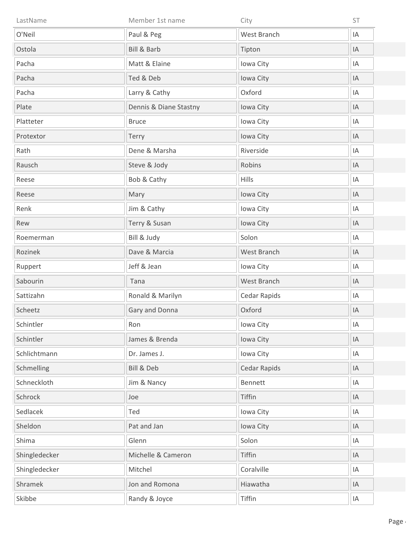| LastName      | Member 1st name        | City           | ST            |
|---------------|------------------------|----------------|---------------|
| O'Neil        | Paul & Peg             | West Branch    | ΙA            |
| Ostola        | <b>Bill &amp; Barb</b> | Tipton         | $\mathsf{IA}$ |
| Pacha         | Matt & Elaine          | Iowa City      | IA            |
| Pacha         | Ted & Deb              | Iowa City      | $\mathsf{IA}$ |
| Pacha         | Larry & Cathy          | Oxford         | ΙA            |
| Plate         | Dennis & Diane Stastny | Iowa City      | IA            |
| Platteter     | <b>Bruce</b>           | Iowa City      | IA            |
| Protextor     | Terry                  | Iowa City      | $\mathsf{IA}$ |
| Rath          | Dene & Marsha          | Riverside      | IA            |
| Rausch        | Steve & Jody           | Robins         | IA            |
| Reese         | Bob & Cathy            | <b>Hills</b>   | IA            |
| Reese         | Mary                   | Iowa City      | $\mathsf{IA}$ |
| Renk          | Jim & Cathy            | Iowa City      | IA            |
| Rew           | Terry & Susan          | Iowa City      | $\mathsf{IA}$ |
| Roemerman     | Bill & Judy            | Solon          | IA            |
| Rozinek       | Dave & Marcia          | West Branch    | $\mathsf{IA}$ |
| Ruppert       | Jeff & Jean            | Iowa City      | IA            |
| Sabourin      | Tana                   | West Branch    | IA            |
| Sattizahn     | Ronald & Marilyn       | Cedar Rapids   | ΙA            |
| Scheetz       | Gary and Donna         | Oxford         | IA            |
| Schintler     | Ron                    | Iowa City      | ΙA            |
| Schintler     | James & Brenda         | Iowa City      | $\mathsf{IA}$ |
| Schlichtmann  | Dr. James J.           | Iowa City      | IA            |
| Schmelling    | Bill & Deb             | Cedar Rapids   | IA            |
| Schneckloth   | Jim & Nancy            | <b>Bennett</b> | IA            |
| Schrock       | Joe                    | Tiffin         | IA            |
| Sedlacek      | Ted                    | Iowa City      | IA            |
| Sheldon       | Pat and Jan            | Iowa City      | IA            |
| Shima         | Glenn                  | Solon          | IA            |
| Shingledecker | Michelle & Cameron     | <b>Tiffin</b>  | $\mathsf{IA}$ |
| Shingledecker | Mitchel                | Coralville     | IA            |
| Shramek       | Jon and Romona         | Hiawatha       | $\mathsf{IA}$ |
| Skibbe        | Randy & Joyce          | Tiffin         | IA            |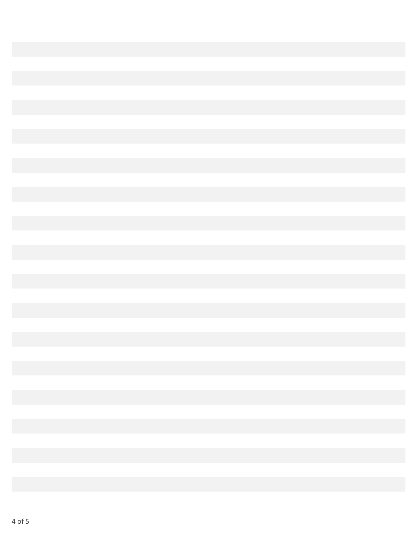|--|